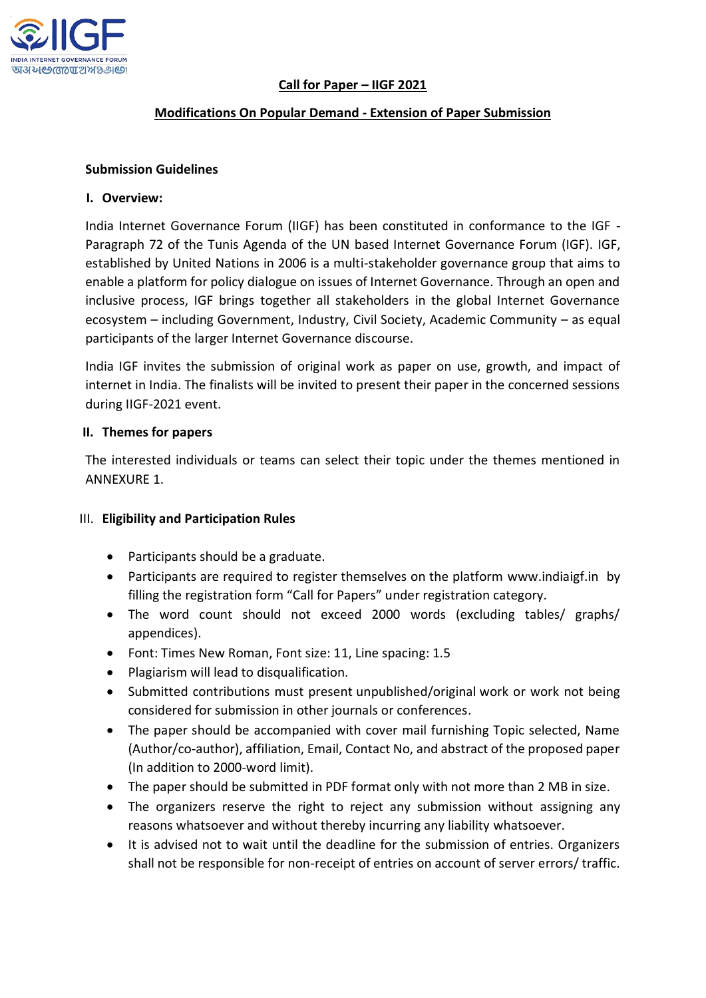

## **Call for Paper – IIGF 2021**

### **Modifications On Popular Demand - Extension of Paper Submission**

### **Submission Guidelines**

#### **I. Overview:**

India Internet Governance Forum (IIGF) has been constituted in conformance to the IGF - Paragraph 72 of the Tunis Agenda of the UN based Internet Governance Forum (IGF). IGF, established by United Nations in 2006 is a multi-stakeholder governance group that aims to enable a platform for policy dialogue on issues of Internet Governance. Through an open and inclusive process, IGF brings together all stakeholders in the global Internet Governance ecosystem – including Government, Industry, Civil Society, Academic Community – as equal participants of the larger Internet Governance discourse.

India IGF invites the submission of original work as paper on use, growth, and impact of internet in India. The finalists will be invited to present their paper in the concerned sessions during IIGF-2021 event.

### **II. Themes for papers**

The interested individuals or teams can select their topic under the themes mentioned in ANNEXURE 1.

### III. **Eligibility and Participation Rules**

- Participants should be a graduate.
- Participants are required to register themselves on the platform [www.indiaigf.in](http://www.indiaigf.in/) by filling the registration form "Call for Papers" under registration category.
- The word count should not exceed 2000 words (excluding tables/ graphs/ appendices).
- Font: Times New Roman, Font size: 11, Line spacing: 1.5
- Plagiarism will lead to disqualification.
- Submitted contributions must present unpublished/original work or work not being considered for submission in other journals or conferences.
- The paper should be accompanied with cover mail furnishing Topic selected, Name (Author/co-author), affiliation, Email, Contact No, and abstract of the proposed paper (In addition to 2000-word limit).
- The paper should be submitted in PDF format only with not more than 2 MB in size.
- The organizers reserve the right to reject any submission without assigning any reasons whatsoever and without thereby incurring any liability whatsoever.
- It is advised not to wait until the deadline for the submission of entries. Organizers shall not be responsible for non-receipt of entries on account of server errors/ traffic.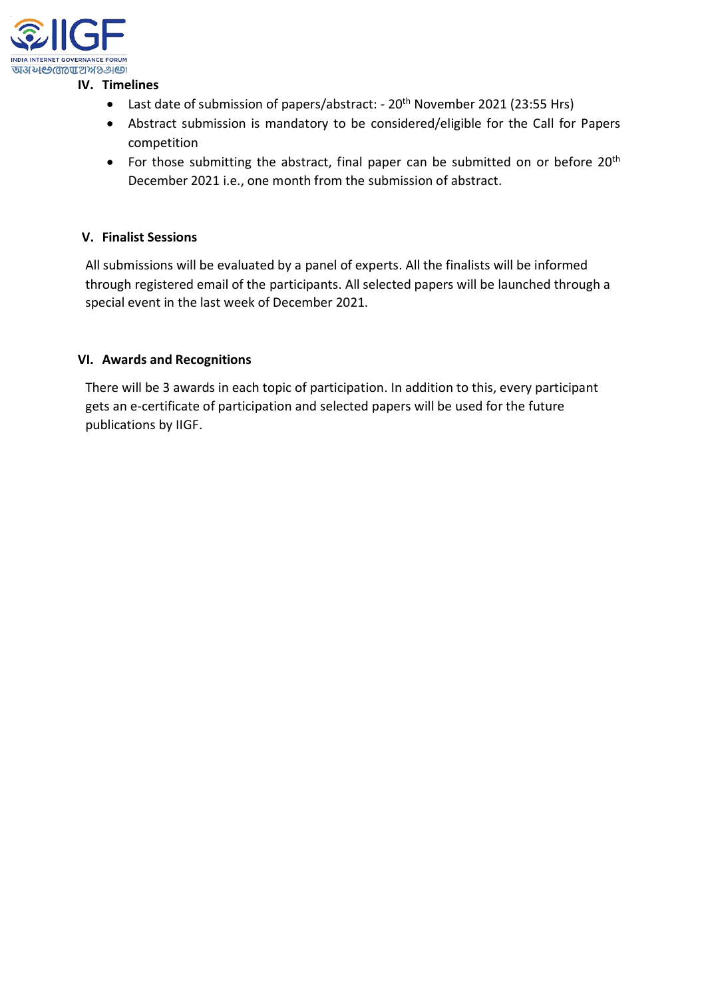

## **IV. Timelines**

- Last date of submission of papers/abstract: 20<sup>th</sup> November 2021 (23:55 Hrs)
- Abstract submission is mandatory to be considered/eligible for the Call for Papers competition
- For those submitting the abstract, final paper can be submitted on or before 20<sup>th</sup> December 2021 i.e., one month from the submission of abstract.

## **V. Finalist Sessions**

All submissions will be evaluated by a panel of experts. All the finalists will be informed through registered email of the participants. All selected papers will be launched through a special event in the last week of December 2021.

## **VI. Awards and Recognitions**

There will be 3 awards in each topic of participation. In addition to this, every participant gets an e-certificate of participation and selected papers will be used for the future publications by IIGF.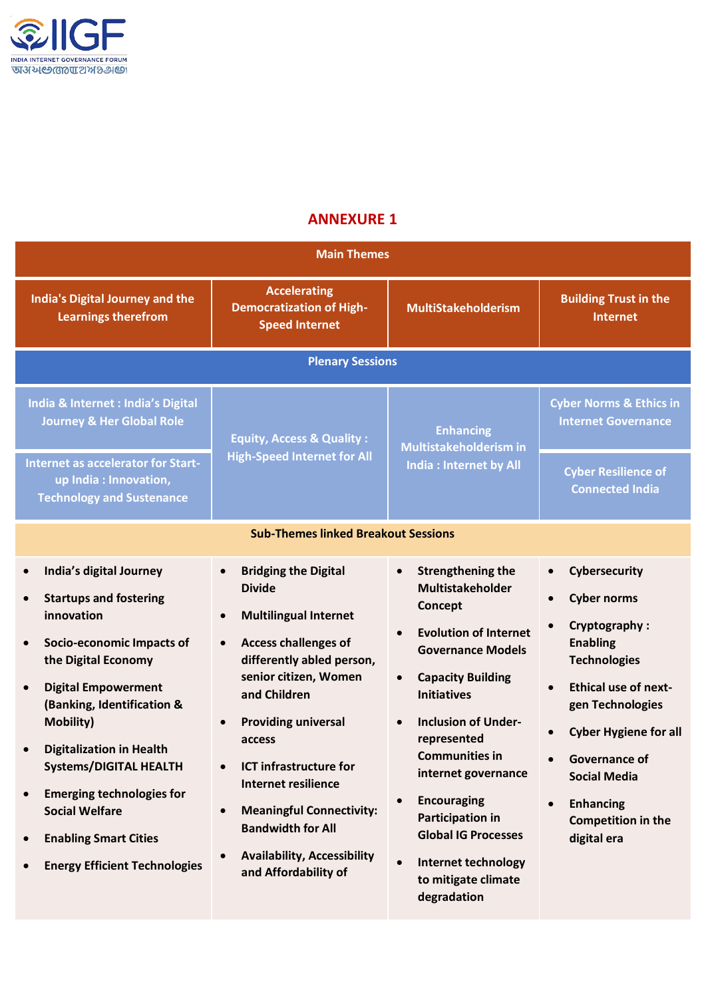

# **ANNEXURE 1**

| <b>Main Themes</b>                                                                                                                                                                                                                                                                                                                                                                                                  |                                                                                                                                                                                                                                                                                                                                                                                                                                    |                                                                                                                                                                                                                                                                                                                                                                                                                                                                                                            |                                                                                                                                                                                                                                                                                                                                         |
|---------------------------------------------------------------------------------------------------------------------------------------------------------------------------------------------------------------------------------------------------------------------------------------------------------------------------------------------------------------------------------------------------------------------|------------------------------------------------------------------------------------------------------------------------------------------------------------------------------------------------------------------------------------------------------------------------------------------------------------------------------------------------------------------------------------------------------------------------------------|------------------------------------------------------------------------------------------------------------------------------------------------------------------------------------------------------------------------------------------------------------------------------------------------------------------------------------------------------------------------------------------------------------------------------------------------------------------------------------------------------------|-----------------------------------------------------------------------------------------------------------------------------------------------------------------------------------------------------------------------------------------------------------------------------------------------------------------------------------------|
| <b>India's Digital Journey and the</b><br><b>Learnings therefrom</b>                                                                                                                                                                                                                                                                                                                                                | <b>Accelerating</b><br><b>Democratization of High-</b><br><b>Speed Internet</b>                                                                                                                                                                                                                                                                                                                                                    | <b>MultiStakeholderism</b>                                                                                                                                                                                                                                                                                                                                                                                                                                                                                 | <b>Building Trust in the</b><br><b>Internet</b>                                                                                                                                                                                                                                                                                         |
| <b>Plenary Sessions</b>                                                                                                                                                                                                                                                                                                                                                                                             |                                                                                                                                                                                                                                                                                                                                                                                                                                    |                                                                                                                                                                                                                                                                                                                                                                                                                                                                                                            |                                                                                                                                                                                                                                                                                                                                         |
| India & Internet : India's Digital<br><b>Journey &amp; Her Global Role</b>                                                                                                                                                                                                                                                                                                                                          | <b>Equity, Access &amp; Quality:</b><br><b>High-Speed Internet for All</b>                                                                                                                                                                                                                                                                                                                                                         | <b>Enhancing</b><br>Multistakeholderism in<br><b>India: Internet by All</b>                                                                                                                                                                                                                                                                                                                                                                                                                                | <b>Cyber Norms &amp; Ethics in</b><br><b>Internet Governance</b>                                                                                                                                                                                                                                                                        |
| Internet as accelerator for Start-<br>up India : Innovation,<br><b>Technology and Sustenance</b>                                                                                                                                                                                                                                                                                                                    |                                                                                                                                                                                                                                                                                                                                                                                                                                    |                                                                                                                                                                                                                                                                                                                                                                                                                                                                                                            | <b>Cyber Resilience of</b><br><b>Connected India</b>                                                                                                                                                                                                                                                                                    |
| <b>Sub-Themes linked Breakout Sessions</b>                                                                                                                                                                                                                                                                                                                                                                          |                                                                                                                                                                                                                                                                                                                                                                                                                                    |                                                                                                                                                                                                                                                                                                                                                                                                                                                                                                            |                                                                                                                                                                                                                                                                                                                                         |
| India's digital Journey<br><b>Startups and fostering</b><br>innovation<br>Socio-economic Impacts of<br>the Digital Economy<br><b>Digital Empowerment</b><br>(Banking, Identification &<br><b>Mobility)</b><br><b>Digitalization in Health</b><br><b>Systems/DIGITAL HEALTH</b><br><b>Emerging technologies for</b><br><b>Social Welfare</b><br><b>Enabling Smart Cities</b><br><b>Energy Efficient Technologies</b> | <b>Bridging the Digital</b><br><b>Divide</b><br><b>Multilingual Internet</b><br><b>Access challenges of</b><br>$\bullet$<br>differently abled person,<br>senior citizen, Women<br>and Children<br><b>Providing universal</b><br>access<br><b>ICT infrastructure for</b><br><b>Internet resilience</b><br><b>Meaningful Connectivity:</b><br><b>Bandwidth for All</b><br><b>Availability, Accessibility</b><br>and Affordability of | <b>Strengthening the</b><br>$\bullet$<br><b>Multistakeholder</b><br>Concept<br><b>Evolution of Internet</b><br>$\bullet$<br><b>Governance Models</b><br><b>Capacity Building</b><br>$\bullet$<br><b>Initiatives</b><br><b>Inclusion of Under-</b><br>$\bullet$<br>represented<br><b>Communities in</b><br>internet governance<br><b>Encouraging</b><br>$\bullet$<br><b>Participation in</b><br><b>Global IG Processes</b><br>$\bullet$<br><b>Internet technology</b><br>to mitigate climate<br>degradation | Cybersecurity<br>$\bullet$<br><b>Cyber norms</b><br>$\bullet$<br>Cryptography:<br><b>Enabling</b><br><b>Technologies</b><br><b>Ethical use of next-</b><br>gen Technologies<br><b>Cyber Hygiene for all</b><br><b>Governance of</b><br><b>Social Media</b><br><b>Enhancing</b><br>$\bullet$<br><b>Competition in the</b><br>digital era |